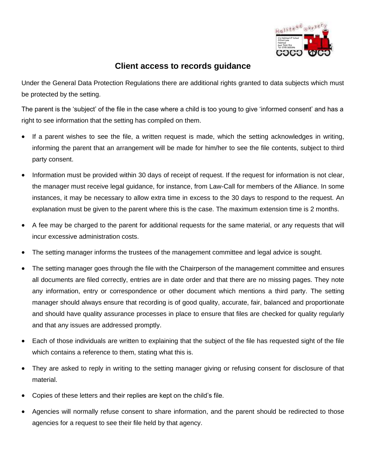

## **Client access to records guidance**

Under the General Data Protection Regulations there are additional rights granted to data subjects which must be protected by the setting.

The parent is the 'subject' of the file in the case where a child is too young to give 'informed consent' and has a right to see information that the setting has compiled on them.

- If a parent wishes to see the file, a written request is made, which the setting acknowledges in writing, informing the parent that an arrangement will be made for him/her to see the file contents, subject to third party consent.
- Information must be provided within 30 days of receipt of request. If the request for information is not clear, the manager must receive legal guidance, for instance, from Law-Call for members of the Alliance. In some instances, it may be necessary to allow extra time in excess to the 30 days to respond to the request. An explanation must be given to the parent where this is the case. The maximum extension time is 2 months.
- A fee may be charged to the parent for additional requests for the same material, or any requests that will incur excessive administration costs.
- The setting manager informs the trustees of the management committee and legal advice is sought.
- The setting manager goes through the file with the Chairperson of the management committee and ensures all documents are filed correctly, entries are in date order and that there are no missing pages. They note any information, entry or correspondence or other document which mentions a third party. The setting manager should always ensure that recording is of good quality, accurate, fair, balanced and proportionate and should have quality assurance processes in place to ensure that files are checked for quality regularly and that any issues are addressed promptly.
- Each of those individuals are written to explaining that the subject of the file has requested sight of the file which contains a reference to them, stating what this is.
- They are asked to reply in writing to the setting manager giving or refusing consent for disclosure of that material.
- Copies of these letters and their replies are kept on the child's file.
- Agencies will normally refuse consent to share information, and the parent should be redirected to those agencies for a request to see their file held by that agency.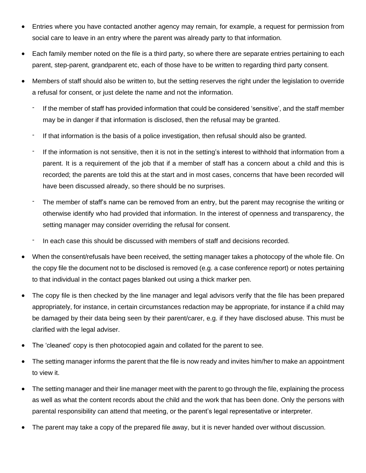- Entries where you have contacted another agency may remain, for example, a request for permission from social care to leave in an entry where the parent was already party to that information.
- Each family member noted on the file is a third party, so where there are separate entries pertaining to each parent, step-parent, grandparent etc, each of those have to be written to regarding third party consent.
- Members of staff should also be written to, but the setting reserves the right under the legislation to override a refusal for consent, or just delete the name and not the information.
	- If the member of staff has provided information that could be considered 'sensitive', and the staff member may be in danger if that information is disclosed, then the refusal may be granted.
	- If that information is the basis of a police investigation, then refusal should also be granted.
	- If the information is not sensitive, then it is not in the setting's interest to withhold that information from a parent. It is a requirement of the job that if a member of staff has a concern about a child and this is recorded; the parents are told this at the start and in most cases, concerns that have been recorded will have been discussed already, so there should be no surprises.
	- The member of staff's name can be removed from an entry, but the parent may recognise the writing or otherwise identify who had provided that information. In the interest of openness and transparency, the setting manager may consider overriding the refusal for consent.
	- In each case this should be discussed with members of staff and decisions recorded.
- When the consent/refusals have been received, the setting manager takes a photocopy of the whole file. On the copy file the document not to be disclosed is removed (e.g. a case conference report) or notes pertaining to that individual in the contact pages blanked out using a thick marker pen.
- The copy file is then checked by the line manager and legal advisors verify that the file has been prepared appropriately, for instance, in certain circumstances redaction may be appropriate, for instance if a child may be damaged by their data being seen by their parent/carer, e.g. if they have disclosed abuse. This must be clarified with the legal adviser.
- The 'cleaned' copy is then photocopied again and collated for the parent to see.
- The setting manager informs the parent that the file is now ready and invites him/her to make an appointment to view it.
- The setting manager and their line manager meet with the parent to go through the file, explaining the process as well as what the content records about the child and the work that has been done. Only the persons with parental responsibility can attend that meeting, or the parent's legal representative or interpreter.
- The parent may take a copy of the prepared file away, but it is never handed over without discussion.